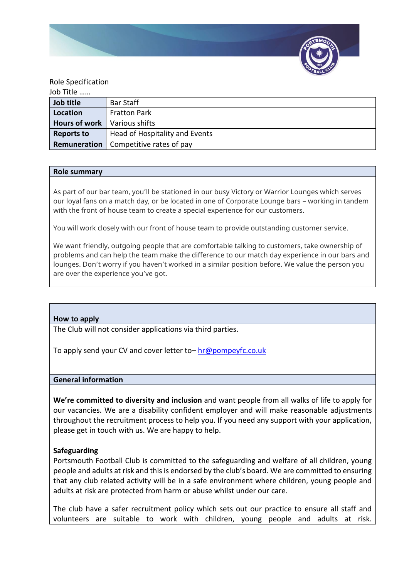

## Role Specification

| Job Title            |                                                |
|----------------------|------------------------------------------------|
| Job title            | Bar Staff                                      |
| Location             | <b>Fratton Park</b>                            |
| <b>Hours of work</b> | l Various shifts                               |
| <b>Reports to</b>    | Head of Hospitality and Events                 |
|                      | <b>Remuneration</b>   Competitive rates of pay |

### **Role summary**

As part of our bar team, you'll be stationed in our busy Victory or Warrior Lounges which serves our loyal fans on a match day, or be located in one of Corporate Lounge bars – working in tandem with the front of house team to create a special experience for our customers.

You will work closely with our front of house team to provide outstanding customer service.

We want friendly, outgoing people that are comfortable talking to customers, take ownership of problems and can help the team make the difference to our match day experience in our bars and lounges. Don't worry if you haven't worked in a similar position before. We value the person you are over the experience you've got.

# **How to apply**

The Club will not consider applications via third parties.

To apply send your CV and cover letter to– [hr@pompeyfc.co.uk](mailto:hr@pompeyfc.co.uk)

### **General information**

**We're committed to diversity and inclusion** and want people from all walks of life to apply for our vacancies. We are a disability confident employer and will make reasonable adjustments throughout the recruitment process to help you. If you need any support with your application, please get in touch with us. We are happy to help.

# **Safeguarding**

Portsmouth Football Club is committed to the safeguarding and welfare of all children, young people and adults at risk and this is endorsed by the club's board. We are committed to ensuring that any club related activity will be in a safe environment where children, young people and adults at risk are protected from harm or abuse whilst under our care.

The club have a safer recruitment policy which sets out our practice to ensure all staff and volunteers are suitable to work with children, young people and adults at risk.